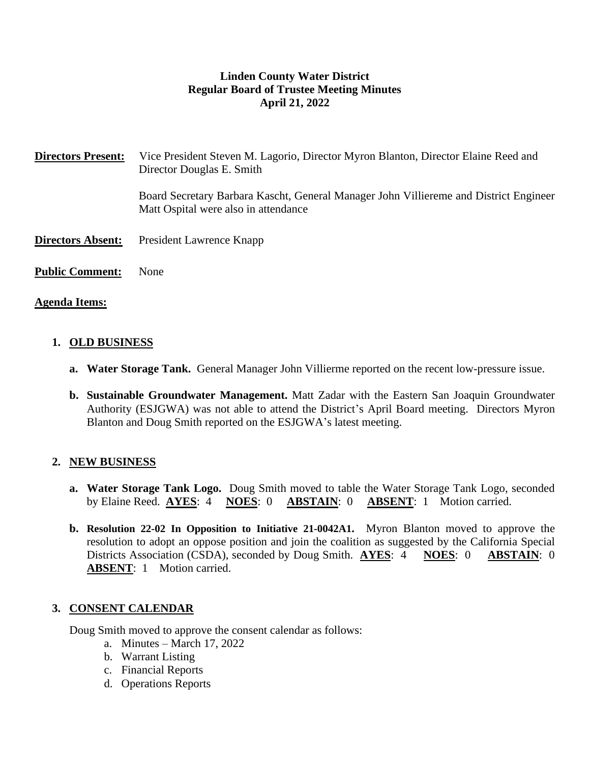# **Linden County Water District Regular Board of Trustee Meeting Minutes April 21, 2022**

**Directors Present:** Vice President Steven M. Lagorio, Director Myron Blanton, Director Elaine Reed and Director Douglas E. Smith

> Board Secretary Barbara Kascht, General Manager John Villiereme and District Engineer Matt Ospital were also in attendance

- **Directors Absent:** President Lawrence Knapp
- **Public Comment:** None

#### **Agenda Items:**

#### **1. OLD BUSINESS**

- **a. Water Storage Tank.** General Manager John Villierme reported on the recent low-pressure issue.
- **b. Sustainable Groundwater Management.** Matt Zadar with the Eastern San Joaquin Groundwater Authority (ESJGWA) was not able to attend the District's April Board meeting. Directors Myron Blanton and Doug Smith reported on the ESJGWA's latest meeting.

## **2. NEW BUSINESS**

- **a. Water Storage Tank Logo.** Doug Smith moved to table the Water Storage Tank Logo, seconded by Elaine Reed. **AYES**: 4 **NOES**: 0 **ABSTAIN**: 0 **ABSENT**: 1 Motion carried.
- **b. Resolution 22-02 In Opposition to Initiative 21-0042A1.** Myron Blanton moved to approve the resolution to adopt an oppose position and join the coalition as suggested by the California Special Districts Association (CSDA), seconded by Doug Smith. **AYES**: 4 **NOES**: 0 **ABSTAIN**: 0 **ABSENT**: 1 Motion carried.

## **3. CONSENT CALENDAR**

Doug Smith moved to approve the consent calendar as follows:

- a. Minutes March 17, 2022
- b. Warrant Listing
- c. Financial Reports
- d. Operations Reports